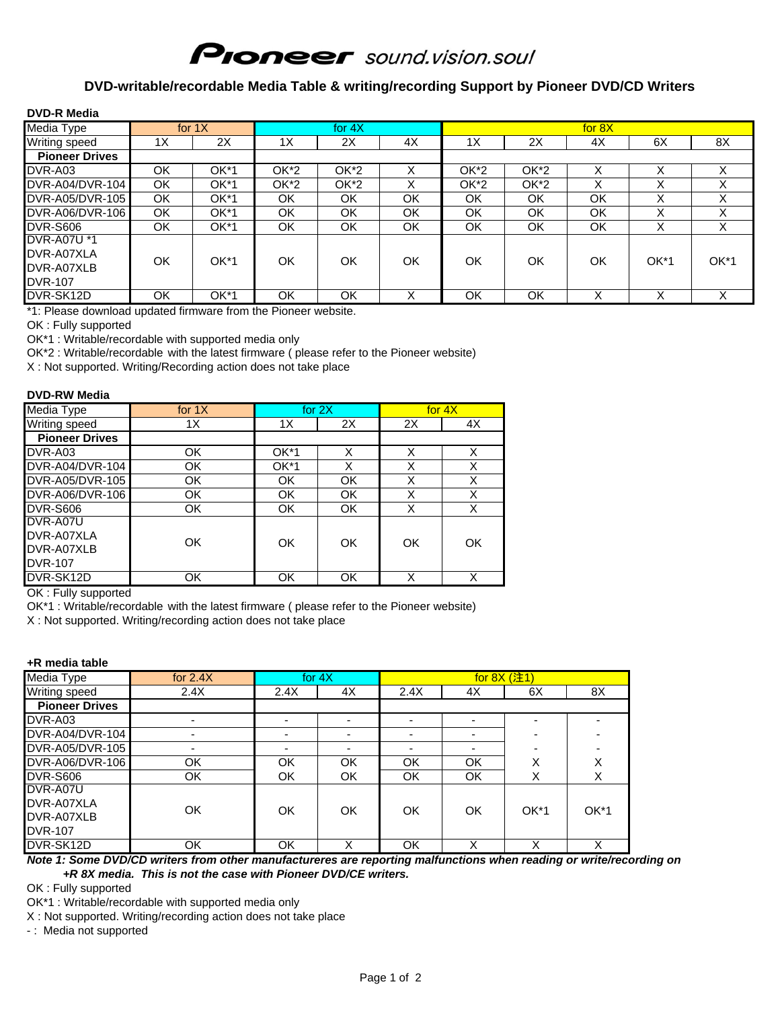# **Pioneer** sound.vision.soul

### **DVD-writable/recordable Media Table & writing/recording Support by Pioneer DVD/CD Writers**

| <b>DVD-R Media</b>    |     |              |           |      |    |        |        |        |        |    |
|-----------------------|-----|--------------|-----------|------|----|--------|--------|--------|--------|----|
| Media Type            |     | for $1X$     | for $4X$  |      |    | for 8X |        |        |        |    |
| Writing speed         | 1X  | 2X           | 1X        | 2X   | 4X | 1X     | 2X     | 4X     | 6X     | 8X |
| <b>Pioneer Drives</b> |     |              |           |      |    |        |        |        |        |    |
| DVR-A03               | ОK  | OK*1         | OK*2      | OK*2 | Χ  | OK*2   | OK*2   |        | х      |    |
| DVR-A04/DVR-104       | OK  | OK*1         | OK*2      | OK*2 | X  | OK*2   | $OK*2$ | X      | X      | X  |
| DVR-A05/DVR-105       | OK. | OK*1         | OK        | OK   | OK | OK     | OK     | OK     | X      | X  |
| DVR-A06/DVR-106       | OK  | $OK*1$       | OK        | OK   | OK | OK     | OK     | OK     | X      | X  |
| <b>DVR-S606</b>       | OK. | $OK*1$       | OK        | OK   | OK | OK     | OK     | OK     | X      | X  |
| <b>DVR-A07U *1</b>    |     |              |           |      |    |        |        |        |        |    |
| DVR-A07XLA            | OK  | $OK*1$<br>OK |           |      |    |        |        |        |        |    |
| DVR-A07XLB            |     |              | <b>OK</b> | OK   | OK | OK     | OK     | $OK*1$ | $OK*1$ |    |
| <b>DVR-107</b>        |     |              |           |      |    |        |        |        |        |    |
| DVR-SK12D             | OK  | OK*1         | OK        | OK   | X  | OK     | OK     | х      | X      | X  |

\*1: Please download updated firmware from the Pioneer website.

OK : Fully supported

OK\*1 : Writable/recordable with supported media only

OK\*2 : Writable/recordable with the latest firmware ( please refer to the Pioneer website)

X : Not supported. Writing/Recording action does not take place

#### **DVD-RW Media**

| Media Type            | for $1X$  | for $2X$  |           |    | for $4X$ |
|-----------------------|-----------|-----------|-----------|----|----------|
| Writing speed         | 1X        | 1X        | 2X        | 2X | 4X       |
| <b>Pioneer Drives</b> |           |           |           |    |          |
| DVR-A03               | OK        | OK*1      | x         | X  | X        |
| DVR-A04/DVR-104       | OK        | OK*1      | X         | X  | X        |
| DVR-A05/DVR-105       | OK        | OK        | OK        | X  | X        |
| DVR-A06/DVR-106       | <b>OK</b> | OK        | OK        | X  | X        |
| <b>DVR-S606</b>       | OK        | <b>OK</b> | <b>OK</b> | X  | X        |
| DVR-A07U              |           |           |           |    |          |
| DVR-A07XLA            | OK        | OK        | OK        | OK | OK       |
| DVR-A07XLB            |           |           |           |    |          |
| <b>DVR-107</b>        |           |           |           |    |          |
| DVR-SK12D             | OK        | OK        | OK        | X  | X        |

OK : Fully supported

OK\*1 : Writable/recordable with the latest firmware ( please refer to the Pioneer website)

X : Not supported. Writing/recording action does not take place

#### **+R media table**

| Media Type            | for $4X$<br>for $2.4X$ |      |           |      |    |        |        |
|-----------------------|------------------------|------|-----------|------|----|--------|--------|
| Writing speed         | 2.4X                   | 2.4X | 4X        | 2.4X | 4X | 6X     | 8X     |
| <b>Pioneer Drives</b> |                        |      |           |      |    |        |        |
| DVR-A03               |                        |      |           |      |    |        |        |
| DVR-A04/DVR-104       |                        |      |           |      |    |        |        |
| DVR-A05/DVR-105       |                        |      |           |      |    |        |        |
| DVR-A06/DVR-106       | ΟK                     | OK   | <b>OK</b> | OK   | OK | ⋏      | Χ      |
| <b>DVR-S606</b>       | ΟK                     | OK   | <b>OK</b> | OK   | OK | х      | Х      |
| DVR-A07U              |                        |      |           |      |    |        |        |
| DVR-A07XLA            | OK                     |      |           |      |    |        |        |
| DVR-A07XLB            |                        | OK   | OK        | OK   | OK | $OK*1$ | $OK*1$ |
| <b>DVR-107</b>        |                        |      |           |      |    |        |        |
| DVR-SK12D             | ΟK                     | ΟK   | Χ         | ΟK   |    |        |        |

*Note 1: Some DVD/CD writers from other manufactureres are reporting malfunctions when reading or write/recording on +R 8X media. This is not the case with Pioneer DVD/CE writers.*

OK : Fully supported

OK\*1 : Writable/recordable with supported media only

X : Not supported. Writing/recording action does not take place

- : Media not supported